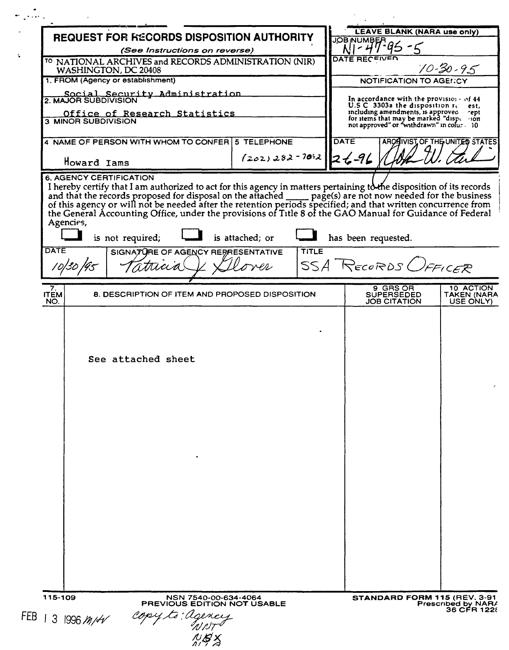| REQUEST FOR FECORDS DISPOSITION AUTHORITY |                                                                                                                                                                               |                         |             | <b>L'EAVE BLANK (NARA use only)</b><br><b>JOB NUMBEF</b>                                                                  |                                   |
|-------------------------------------------|-------------------------------------------------------------------------------------------------------------------------------------------------------------------------------|-------------------------|-------------|---------------------------------------------------------------------------------------------------------------------------|-----------------------------------|
| (See Instructions on reverse)             |                                                                                                                                                                               |                         |             |                                                                                                                           |                                   |
|                                           | <sup>10</sup> NATIONAL ARCHIVES and RECORDS ADMINISTRATION (NIR)<br>WASHINGTON, DC 20408                                                                                      |                         |             | DATE RECFIVED                                                                                                             | $70 - 30 - 95$                    |
|                                           | 1. FROM (Agency or establishment)                                                                                                                                             |                         |             | <b>NOTIFICATION TO AGENCY</b>                                                                                             |                                   |
|                                           | Social Security Administration<br>2. MAJOR SUBDIVISION                                                                                                                        |                         |             | In accordance with the provisio: $\cdot$ of 44<br>U.S C 3303a the disposition re-                                         | est.                              |
|                                           | Office of Research Statistics<br><b>3 MINOR SUBDIVISION</b>                                                                                                                   |                         |             | including amendments, is approved<br>for items that may be marked "disperion<br>not approved" or "withdrawn" in colur. 10 | rept.                             |
|                                           | 4 NAME OF PERSON WITH WHOM TO CONFER 5 TELEPHONE                                                                                                                              |                         | <b>DATE</b> | ARCHIVIST OF THE UNITED STATES                                                                                            |                                   |
|                                           | Howard Iams<br><b>6. AGENCY CERTIFICATION</b>                                                                                                                                 | $(202)282 - 7042$ 24-96 |             |                                                                                                                           |                                   |
| Agencies,<br><b>DATE</b>                  | the General Accounting Office, under the provisions of Title 8 of the GAO Manual for Guidance of Federal<br>is not required;<br>SIGNATURE OF AGENCY REPRESENTATIVE<br>Ttrucia | is attached; or         | TITLE       | has been requested.<br>SSA RECORDS OFFICER                                                                                |                                   |
| 7.<br><b>ITEM</b>                         | 8. DESCRIPTION OF ITEM AND PROPOSED DISPOSITION                                                                                                                               |                         |             | 9 GRS OR<br><b>SUPERSEDED</b>                                                                                             | 10 ACTION<br>TAKEN (NARA          |
| NO.                                       |                                                                                                                                                                               |                         |             | <b>JOB CITATION</b>                                                                                                       | USE ONLY)                         |
|                                           | See attached sheet                                                                                                                                                            |                         |             |                                                                                                                           |                                   |
|                                           |                                                                                                                                                                               |                         |             |                                                                                                                           |                                   |
| 115-109                                   | NSN 7540-00-634-4064<br>PREVIOUS EDITION NOT USABLE                                                                                                                           |                         |             | STANDARD FORM 115 (REV. 3-91                                                                                              | Prescribed by NAR/<br>36 CFR 1228 |